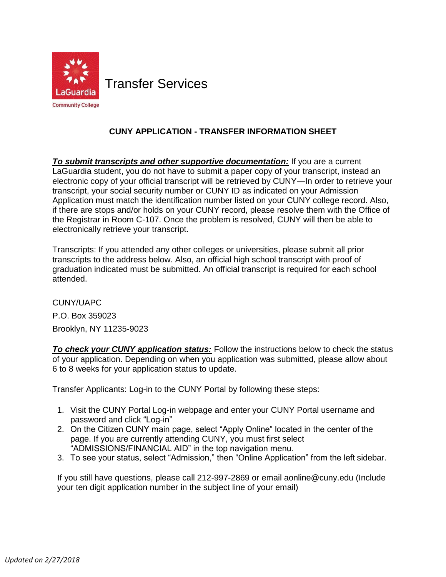

Transfer Services

## **CUNY APPLICATION - TRANSFER INFORMATION SHEET**

**To submit transcripts and other supportive documentation:** If you are a current LaGuardia student, you do not have to submit a paper copy of your transcript, instead an electronic copy of your official transcript will be retrieved by CUNY—In order to retrieve your transcript, your social security number or CUNY ID as indicated on your Admission Application must match the identification number listed on your CUNY college record. Also, if there are stops and/or holds on your CUNY record, please resolve them with the Office of the Registrar in Room C-107. Once the problem is resolved, CUNY will then be able to electronically retrieve your transcript.

 Transcripts: If you attended any other colleges or universities, please submit all prior transcripts to the address below. Also, an official high school transcript with proof of graduation indicated must be submitted. An official transcript is required for each school attended.

 P.O. Box 359023 CUNY/UAPC Brooklyn, NY 11235-9023

**To check your CUNY application status:** Follow the instructions below to check the status of your application. Depending on when you application was submitted, please allow about 6 to 8 weeks for your application status to update.

Transfer Applicants: Log-in to the CUNY Portal by following these steps:

- 1. Visit the [CUNY Portal Log-in webpage a](https://cunyportal.cuny.edu/cpr/authenticate/portal_login.jsp)nd enter your CUNY Portal username and password and click "Log-in"
- 2. On the Citizen CUNY main page, select "Apply Online" located in the center of the page. If you are currently attending CUNY, you must first select "ADMISSIONS/FINANCIAL AID" in the top navigation menu.
- 3. To see your status, select "Admission," then "Online Application" from the left sidebar.

 If you still have questions, please call 212-997-2869 or email [aonline@cuny.edu \(](mailto:aonline@cuny.edu)Include your ten digit application number in the subject line of your email)